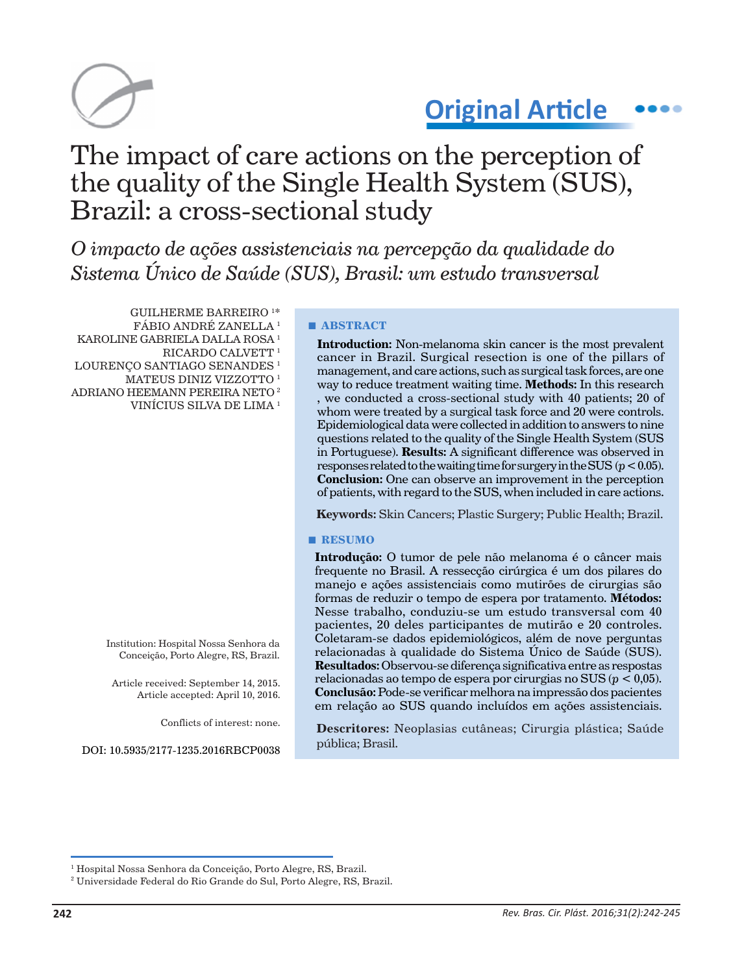

# **Original Article**

# The impact of care actions on the perception of the quality of the Single Health System (SUS), Brazil: a cross-sectional study

*O impacto de ações assistenciais na percepção da qualidade do Sistema Único de Saúde (SUS), Brasil: um estudo transversal*

GUILHERME BARREIRO 1 \* FÁBIO ANDRÉ ZANELLA 1 KAROLINE GABRIELA DALLA ROSA 1 RICARDO CALVETT<sup>1</sup> LOURENÇO SANTIAGO SENANDES<sup>1</sup> MATEUS DINIZ VIZZOTTO 1 ADRIANO HEEMANN PEREIRA NETO 2 VINÍCIUS SILVA DE LIMA 1

> Institution: Hospital Nossa Senhora da Conceição, Porto Alegre, RS, Brazil.

Article received: September 14, 2015. Article accepted: April 10, 2016.

Conflicts of interest: none.

DOI: 10.5935/2177-1235.2016RBCP0038

#### **■ ABSTRACT**

**Introduction:** Non-melanoma skin cancer is the most prevalent cancer in Brazil. Surgical resection is one of the pillars of management, and care actions, such as surgical task forces, are one way to reduce treatment waiting time. **Methods:** In this research , we conducted a cross-sectional study with 40 patients; 20 of whom were treated by a surgical task force and 20 were controls. Epidemiological data were collected in addition to answers to nine questions related to the quality of the Single Health System (SUS in Portuguese). **Results:** A significant difference was observed in responses related to the waiting time for surgery in the SUS  $(p < 0.05)$ . **Conclusion:** One can observe an improvement in the perception of patients, with regard to the SUS, when included in care actions.

**Keywords:** Skin Cancers; Plastic Surgery; Public Health; Brazil.

#### **■ RESUMO**

**Introdução:** O tumor de pele não melanoma é o câncer mais frequente no Brasil. A ressecção cirúrgica é um dos pilares do manejo e ações assistenciais como mutirões de cirurgias são formas de reduzir o tempo de espera por tratamento. **Métodos:** Nesse trabalho, conduziu-se um estudo transversal com 40 pacientes, 20 deles participantes de mutirão e 20 controles. Coletaram-se dados epidemiológicos, além de nove perguntas relacionadas à qualidade do Sistema Único de Saúde (SUS). **Resultados:** Observou-se diferença significativa entre as respostas relacionadas ao tempo de espera por cirurgias no SUS (*p* < 0,05). **Conclusão:** Pode-se verificar melhora na impressão dos pacientes em relação ao SUS quando incluídos em ações assistenciais.

**Descritores:** Neoplasias cutâneas; Cirurgia plástica; Saúde pública; Brasil.

<sup>1</sup> Hospital Nossa Senhora da Conceição, Porto Alegre, RS, Brazil.

<sup>2</sup> Universidade Federal do Rio Grande do Sul, Porto Alegre, RS, Brazil.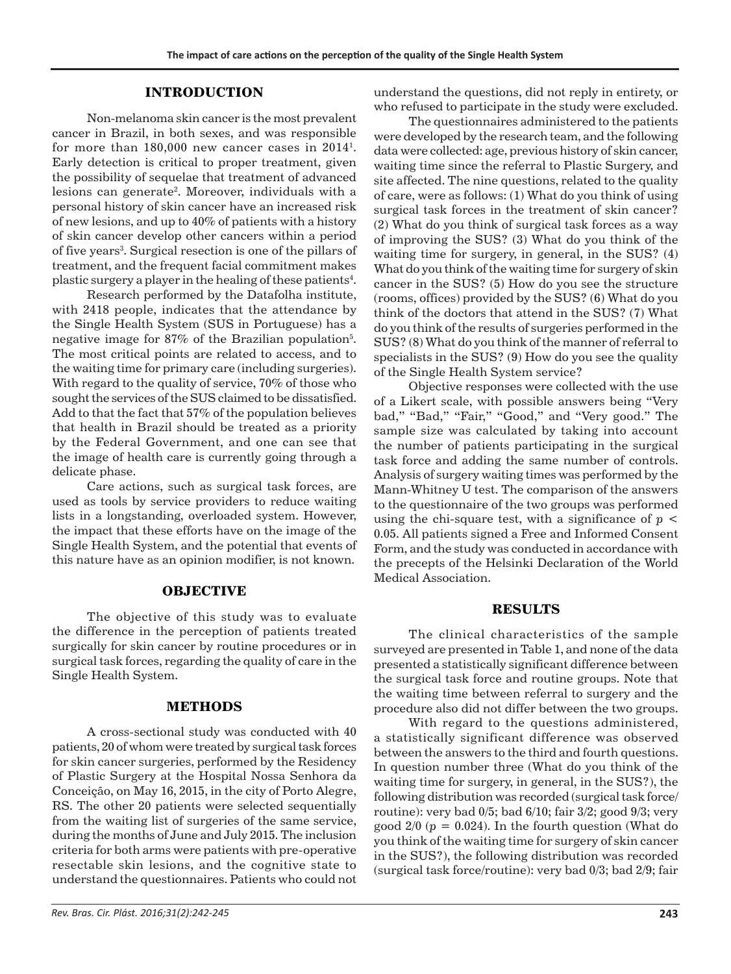### **INTRODUCTION**

Non-melanoma skin cancer is the most prevalent cancer in Brazil, in both sexes, and was responsible for more than  $180,000$  new cancer cases in  $2014^{\text{l}}$ . Early detection is critical to proper treatment, given the possibility of sequelae that treatment of advanced lesions can generate<sup>2</sup>. Moreover, individuals with a personal history of skin cancer have an increased risk of new lesions, and up to 40% of patients with a history of skin cancer develop other cancers within a period of five years<sup>3</sup>. Surgical resection is one of the pillars of treatment, and the frequent facial commitment makes plastic surgery a player in the healing of these patients $^4\!$ .

Research performed by the Datafolha institute, with 2418 people, indicates that the attendance by the Single Health System (SUS in Portuguese) has a negative image for 87% of the Brazilian population $5$ . The most critical points are related to access, and to the waiting time for primary care (including surgeries). With regard to the quality of service, 70% of those who sought the services of the SUS claimed to be dissatisfied. Add to that the fact that 57% of the population believes that health in Brazil should be treated as a priority by the Federal Government, and one can see that the image of health care is currently going through a delicate phase.

Care actions, such as surgical task forces, are used as tools by service providers to reduce waiting lists in a longstanding, overloaded system. However, the impact that these efforts have on the image of the Single Health System, and the potential that events of this nature have as an opinion modifier, is not known.

### **OBJECTIVE**

The objective of this study was to evaluate the difference in the perception of patients treated surgically for skin cancer by routine procedures or in surgical task forces, regarding the quality of care in the Single Health System.

## **METHODS**

A cross-sectional study was conducted with 40 patients, 20 of whom were treated by surgical task forces for skin cancer surgeries, performed by the Residency of Plastic Surgery at the Hospital Nossa Senhora da Conceição, on May 16, 2015, in the city of Porto Alegre, RS. The other 20 patients were selected sequentially from the waiting list of surgeries of the same service, during the months of June and July 2015. The inclusion criteria for both arms were patients with pre-operative resectable skin lesions, and the cognitive state to understand the questionnaires. Patients who could not understand the questions, did not reply in entirety, or who refused to participate in the study were excluded.

The questionnaires administered to the patients were developed by the research team, and the following data were collected: age, previous history of skin cancer, waiting time since the referral to Plastic Surgery, and site affected. The nine questions, related to the quality of care, were as follows: (1) What do you think of using surgical task forces in the treatment of skin cancer? (2) What do you think of surgical task forces as a way of improving the SUS? (3) What do you think of the waiting time for surgery, in general, in the SUS? (4) What do you think of the waiting time for surgery of skin cancer in the SUS? (5) How do you see the structure (rooms, offices) provided by the SUS? (6) What do you think of the doctors that attend in the SUS? (7) What do you think of the results of surgeries performed in the SUS? (8) What do you think of the manner of referral to specialists in the SUS? (9) How do you see the quality of the Single Health System service?

Objective responses were collected with the use of a Likert scale, with possible answers being "Very bad," "Bad," "Fair," "Good," and "Very good." The sample size was calculated by taking into account the number of patients participating in the surgical task force and adding the same number of controls. Analysis of surgery waiting times was performed by the Mann-Whitney U test. The comparison of the answers to the questionnaire of the two groups was performed using the chi-square test, with a significance of  $p <$ 0.05. All patients signed a Free and Informed Consent Form, and the study was conducted in accordance with the precepts of the Helsinki Declaration of the World Medical Association.

### **RESULTS**

The clinical characteristics of the sample surveyed are presented in Table 1, and none of the data presented a statistically significant difference between the surgical task force and routine groups. Note that the waiting time between referral to surgery and the procedure also did not differ between the two groups.

With regard to the questions administered, a statistically significant difference was observed between the answers to the third and fourth questions. In question number three (What do you think of the waiting time for surgery, in general, in the SUS?), the following distribution was recorded (surgical task force/ routine): very bad 0/5; bad 6/10; fair 3/2; good 9/3; very good  $2/0$  ( $p = 0.024$ ). In the fourth question (What do you think of the waiting time for surgery of skin cancer in the SUS?), the following distribution was recorded (surgical task force/routine): very bad 0/3; bad 2/9; fair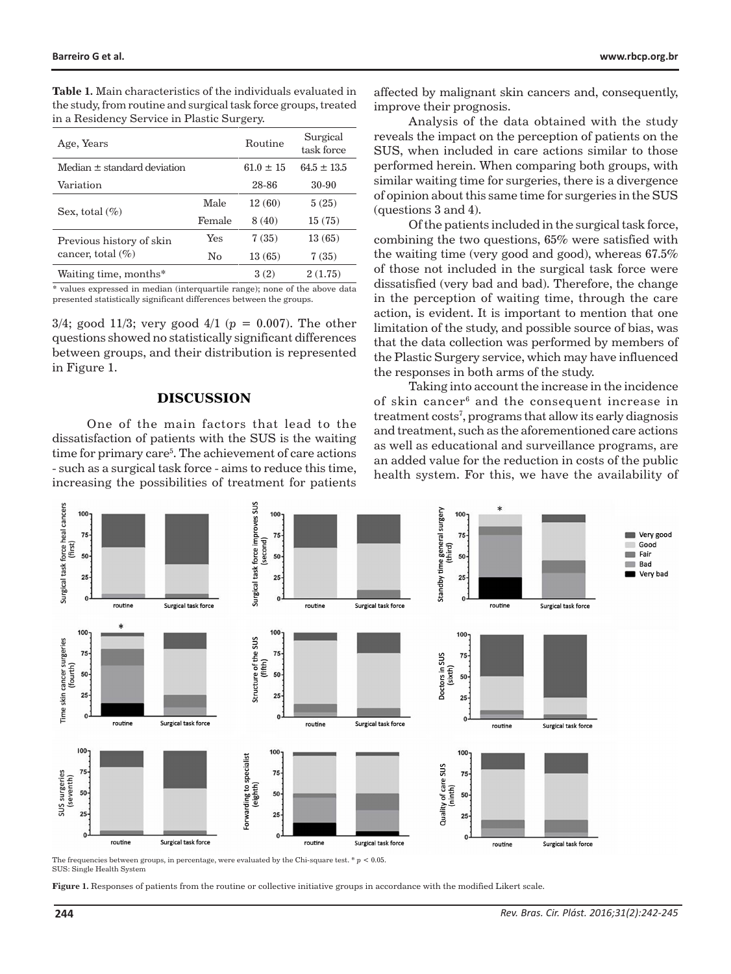| <b>Table 1.</b> Main characteristics of the individuals evaluated in |
|----------------------------------------------------------------------|
| the study, from routine and surgical task force groups, treated      |
| in a Residency Service in Plastic Surgery.                           |

| Age, Years                                        |        | Routine     | Surgical<br>task force |
|---------------------------------------------------|--------|-------------|------------------------|
| Median + standard deviation                       |        | $61.0 + 15$ | $64.5 + 13.5$          |
| Variation                                         |        | 28-86       | 30-90                  |
| Sex, total $(\% )$                                | Male   | 12(60)      | 5(25)                  |
|                                                   | Female | 8(40)       | 15(75)                 |
| Previous history of skin<br>cancer, total $(\% )$ | Yes    | 7(35)       | 13(65)                 |
|                                                   | No     | 13(65)      | 7(35)                  |
| Waiting time, months*                             |        | 3(2)        | 2(1.75)                |

\* values expressed in median (interquartile range); none of the above data presented statistically significant differences between the groups.

3/4; good 11/3; very good 4/1 (*p* = 0.007). The other questions showed no statistically significant differences between groups, and their distribution is represented in Figure 1.

#### **DISCUSSION**

One of the main factors that lead to the dissatisfaction of patients with the SUS is the waiting time for primary care5 . The achievement of care actions - such as a surgical task force - aims to reduce this time, increasing the possibilities of treatment for patients

affected by malignant skin cancers and, consequently, improve their prognosis.

Analysis of the data obtained with the study reveals the impact on the perception of patients on the SUS, when included in care actions similar to those performed herein. When comparing both groups, with similar waiting time for surgeries, there is a divergence of opinion about this same time for surgeries in the SUS (questions 3 and 4).

Of the patients included in the surgical task force, combining the two questions, 65% were satisfied with the waiting time (very good and good), whereas 67.5% of those not included in the surgical task force were dissatisfied (very bad and bad). Therefore, the change in the perception of waiting time, through the care action, is evident. It is important to mention that one limitation of the study, and possible source of bias, was that the data collection was performed by members of the Plastic Surgery service, which may have influenced the responses in both arms of the study.

Taking into account the increase in the incidence of skin cancer<sup>6</sup> and the consequent increase in treatment costs7 , programs that allow its early diagnosis and treatment, such as the aforementioned care actions as well as educational and surveillance programs, are an added value for the reduction in costs of the public health system. For this, we have the availability of



The frequencies between groups, in percentage, were evaluated by the Chi-square test.  $*$   $p$  < 0.05. SUS: Single Health System

**Figure 1.** Responses of patients from the routine or collective initiative groups in accordance with the modified Likert scale.